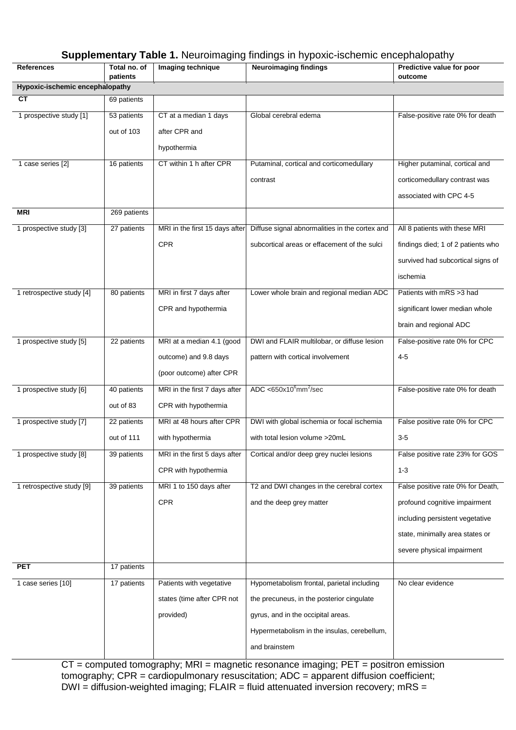## **Supplementary Table 1.** Neuroimaging findings in hypoxic-ischemic encephalopathy

| <b>References</b>               | Total no. of | Imaging technique              | <b>Neuroimaging findings</b>                   | Predictive value for poor          |
|---------------------------------|--------------|--------------------------------|------------------------------------------------|------------------------------------|
| Hypoxic-ischemic encephalopathy | patients     |                                |                                                | outcome                            |
| <b>CT</b>                       | 69 patients  |                                |                                                |                                    |
|                                 |              | CT at a median 1 days          | Global cerebral edema                          | False-positive rate 0% for death   |
| 1 prospective study [1]         | 53 patients  |                                |                                                |                                    |
|                                 | out of 103   | after CPR and                  |                                                |                                    |
|                                 |              | hypothermia                    |                                                |                                    |
| 1 case series [2]               | 16 patients  | CT within 1 h after CPR        | Putaminal, cortical and corticomedullary       | Higher putaminal, cortical and     |
|                                 |              |                                | contrast                                       | corticomedullary contrast was      |
|                                 |              |                                |                                                | associated with CPC 4-5            |
| <b>MRI</b>                      | 269 patients |                                |                                                |                                    |
| 1 prospective study [3]         | 27 patients  | MRI in the first 15 days after | Diffuse signal abnormalities in the cortex and | All 8 patients with these MRI      |
|                                 |              | <b>CPR</b>                     | subcortical areas or effacement of the sulci   | findings died; 1 of 2 patients who |
|                                 |              |                                |                                                | survived had subcortical signs of  |
|                                 |              |                                |                                                | ischemia                           |
| 1 retrospective study [4]       | 80 patients  | MRI in first 7 days after      | Lower whole brain and regional median ADC      | Patients with mRS >3 had           |
|                                 |              | CPR and hypothermia            |                                                | significant lower median whole     |
|                                 |              |                                |                                                | brain and regional ADC             |
| 1 prospective study [5]         | 22 patients  | MRI at a median 4.1 (good      | DWI and FLAIR multilobar, or diffuse lesion    | False-positive rate 0% for CPC     |
|                                 |              | outcome) and 9.8 days          | pattern with cortical involvement              | $4 - 5$                            |
|                                 |              | (poor outcome) after CPR       |                                                |                                    |
| 1 prospective study [6]         | 40 patients  | MRI in the first 7 days after  | ADC < $650x10^6$ mm <sup>2</sup> /sec          | False-positive rate 0% for death   |
|                                 |              |                                |                                                |                                    |
|                                 | out of 83    | CPR with hypothermia           |                                                |                                    |
| 1 prospective study [7]         | 22 patients  | MRI at 48 hours after CPR      | DWI with global ischemia or focal ischemia     | False positive rate 0% for CPC     |
|                                 | out of 111   | with hypothermia               | with total lesion volume >20mL                 | $3-5$                              |
| 1 prospective study [8]         | 39 patients  | MRI in the first 5 days after  | Cortical and/or deep grey nuclei lesions       | False positive rate 23% for GOS    |
|                                 |              | CPR with hypothermia           |                                                | $1 - 3$                            |
| 1 retrospective study [9]       | 39 patients  | MRI 1 to 150 days after        | T2 and DWI changes in the cerebral cortex      | False positive rate 0% for Death,  |
|                                 |              | <b>CPR</b>                     | and the deep grey matter                       | profound cognitive impairment      |
|                                 |              |                                |                                                | including persistent vegetative    |
|                                 |              |                                |                                                | state, minimally area states or    |
|                                 |              |                                |                                                | severe physical impairment         |
| <b>PET</b>                      | 17 patients  |                                |                                                |                                    |
| 1 case series [10]              | 17 patients  | Patients with vegetative       | Hypometabolism frontal, parietal including     | No clear evidence                  |
|                                 |              | states (time after CPR not     | the precuneus, in the posterior cingulate      |                                    |
|                                 |              | provided)                      | gyrus, and in the occipital areas.             |                                    |
|                                 |              |                                | Hypermetabolism in the insulas, cerebellum,    |                                    |
|                                 |              |                                | and brainstem                                  |                                    |

CT = computed tomography; MRI = magnetic resonance imaging; PET = positron emission tomography; CPR = cardiopulmonary resuscitation; ADC = apparent diffusion coefficient; DWI = diffusion-weighted imaging; FLAIR = fluid attenuated inversion recovery; mRS =